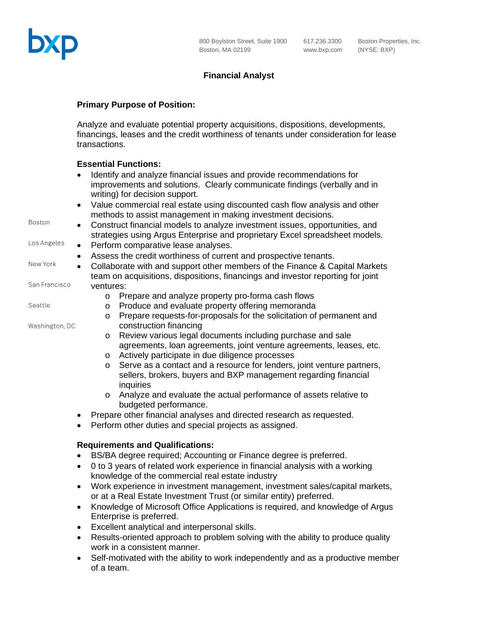

# **Financial Analyst**

### **Primary Purpose of Position:**

Analyze and evaluate potential property acquisitions, dispositions, developments, financings, leases and the credit worthiness of tenants under consideration for lease transactions.

## **Essential Functions:**

|                | ESSUINAI FUIKNUIS.                                                                                                                                                          |
|----------------|-----------------------------------------------------------------------------------------------------------------------------------------------------------------------------|
|                | Identify and analyze financial issues and provide recommendations for                                                                                                       |
|                | improvements and solutions. Clearly communicate findings (verbally and in<br>writing) for decision support.                                                                 |
|                | Value commercial real estate using discounted cash flow analysis and other<br>$\bullet$<br>methods to assist management in making investment decisions.                     |
| Boston         | Construct financial models to analyze investment issues, opportunities, and<br>$\bullet$<br>strategies using Argus Enterprise and proprietary Excel spreadsheet models.     |
| Los Angeles    | Perform comparative lease analyses.<br>$\bullet$                                                                                                                            |
|                | Assess the credit worthiness of current and prospective tenants.                                                                                                            |
| New York       | Collaborate with and support other members of the Finance & Capital Markets<br>$\bullet$<br>team on acquisitions, dispositions, financings and investor reporting for joint |
| San Francisco  | ventures:                                                                                                                                                                   |
|                | Prepare and analyze property pro-forma cash flows<br>$\circ$                                                                                                                |
| Seattle        | Produce and evaluate property offering memoranda<br>$\circ$                                                                                                                 |
|                | Prepare requests-for-proposals for the solicitation of permanent and<br>$\circ$                                                                                             |
| Washington, DC | construction financing                                                                                                                                                      |
|                | Review various legal documents including purchase and sale<br>$\circ$                                                                                                       |
|                | agreements, loan agreements, joint venture agreements, leases, etc.                                                                                                         |
|                | Actively participate in due diligence processes<br>$\circ$                                                                                                                  |
|                | Serve as a contact and a resource for lenders, joint venture partners,<br>$\circ$<br>sellers, brokers, buyers and BXP management regarding financial<br>inquiries           |
|                | Analyze and evaluate the actual performance of assets relative to<br>$\circ$<br>budgeted performance.                                                                       |
|                | Prepare other financial analyses and directed research as requested.<br>$\bullet$                                                                                           |
|                | Perform other duties and special projects as assigned.                                                                                                                      |
|                | <b>Requirements and Qualifications:</b>                                                                                                                                     |
|                | BS/BA degree required; Accounting or Finance degree is preferred.                                                                                                           |
|                | 0 to 3 years of related work experience in financial analysis with a working<br>$\bullet$                                                                                   |
|                | knowledge of the commercial real estate industry                                                                                                                            |

- Work experience in investment management, investment sales/capital markets, or at a Real Estate Investment Trust (or similar entity) preferred.
- Knowledge of Microsoft Office Applications is required, and knowledge of Argus Enterprise is preferred.
- Excellent analytical and interpersonal skills.
- Results-oriented approach to problem solving with the ability to produce quality work in a consistent manner.
- Self-motivated with the ability to work independently and as a productive member of a team.